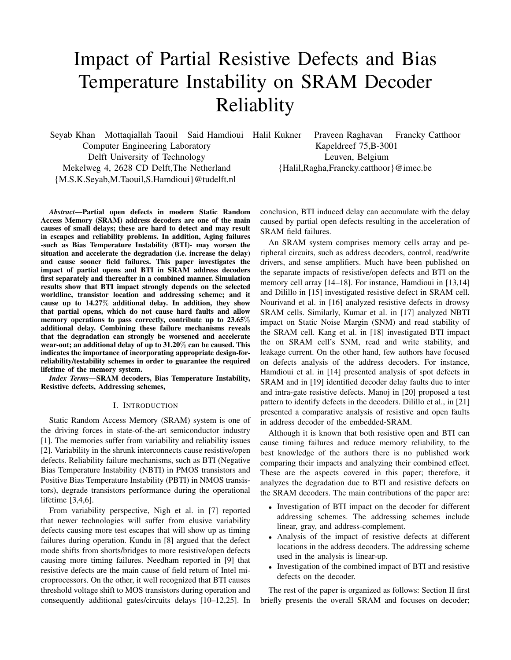# Impact of Partial Resistive Defects and Bias Temperature Instability on SRAM Decoder Reliablity

Seyab Khan Mottaqiallah Taouil Said Hamdioui Computer Engineering Laboratory Delft University of Technology Mekelweg 4, 2628 CD Delft,The Netherland {M.S.K.Seyab,M.Taouil,S.Hamdioui}@tudelft.nl

*Abstract*—Partial open defects in modern Static Random Access Memory (SRAM) address decoders are one of the main causes of small delays; these are hard to detect and may result in escapes and reliability problems. In addition, Aging failures -such as Bias Temperature Instability (BTI)- may worsen the situation and accelerate the degradation (i.e. increase the delay) and cause sooner field failures. This paper investigates the impact of partial opens and BTI in SRAM address decoders first separately and thereafter in a combined manner. Simulation results show that BTI impact strongly depends on the selected worldline, transistor location and addressing scheme; and it cause up to 14.27% additional delay. In addition, they show that partial opens, which do not cause hard faults and allow memory operations to pass correctly, contribute up to 23.65% additional delay. Combining these failure mechanisms reveals that the degradation can strongly be worsened and accelerate wear-out; an additional delay of up to 31.20% can be caused. This indicates the importance of incorporating appropriate design-forreliability/testability schemes in order to guarantee the required lifetime of the memory system.

*Index Terms*—SRAM decoders, Bias Temperature Instability, Resistive defects, Addressing schemes,

#### I. INTRODUCTION

Static Random Access Memory (SRAM) system is one of the driving forces in state-of-the-art semiconductor industry [1]. The memories suffer from variability and reliability issues [2]. Variability in the shrunk interconnects cause resistive/open defects. Reliability failure mechanisms, such as BTI (Negative Bias Temperature Instability (NBTI) in PMOS transistors and Positive Bias Temperature Instability (PBTI) in NMOS transistors), degrade transistors performance during the operational lifetime [3,4,6].

From variability perspective, Nigh et al. in [7] reported that newer technologies will suffer from elusive variability defects causing more test escapes that will show up as timing failures during operation. Kundu in [8] argued that the defect mode shifts from shorts/bridges to more resistive/open defects causing more timing failures. Needham reported in [9] that resistive defects are the main cause of field return of Intel microprocessors. On the other, it well recognized that BTI causes threshold voltage shift to MOS transistors during operation and consequently additional gates/circuits delays [10–12,25]. In

Praveen Raghavan Francky Catthoor Kapeldreef 75,B-3001 Leuven, Belgium {Halil,Ragha,Francky.catthoor}@imec.be

conclusion, BTI induced delay can accumulate with the delay caused by partial open defects resulting in the acceleration of SRAM field failures.

An SRAM system comprises memory cells array and peripheral circuits, such as address decoders, control, read/write drivers, and sense amplifiers. Much have been published on the separate impacts of resistive/open defects and BTI on the memory cell array [14–18]. For instance, Hamdioui in [13,14] and Dilillo in [15] investigated resistive defect in SRAM cell. Nourivand et al. in [16] analyzed resistive defects in drowsy SRAM cells. Similarly, Kumar et al. in [17] analyzed NBTI impact on Static Noise Margin (SNM) and read stability of the SRAM cell. Kang et al. in [18] investigated BTI impact the on SRAM cell's SNM, read and write stability, and leakage current. On the other hand, few authors have focused on defects analysis of the address decoders. For instance, Hamdioui et al. in [14] presented analysis of spot defects in SRAM and in [19] identified decoder delay faults due to inter and intra-gate resistive defects. Manoj in [20] proposed a test pattern to identify defects in the decoders. Dilillo et al., in [21] presented a comparative analysis of resistive and open faults in address decoder of the embedded-SRAM.

Although it is known that both resistive open and BTI can cause timing failures and reduce memory reliability, to the best knowledge of the authors there is no published work comparing their impacts and analyzing their combined effect. These are the aspects covered in this paper; therefore, it analyzes the degradation due to BTI and resistive defects on the SRAM decoders. The main contributions of the paper are:

- Investigation of BTI impact on the decoder for different addressing schemes. The addressing schemes include linear, gray, and address-complement.
- Analysis of the impact of resistive defects at different locations in the address decoders. The addressing scheme used in the analysis is linear-up.
- Investigation of the combined impact of BTI and resistive defects on the decoder.

The rest of the paper is organized as follows: Section II first briefly presents the overall SRAM and focuses on decoder;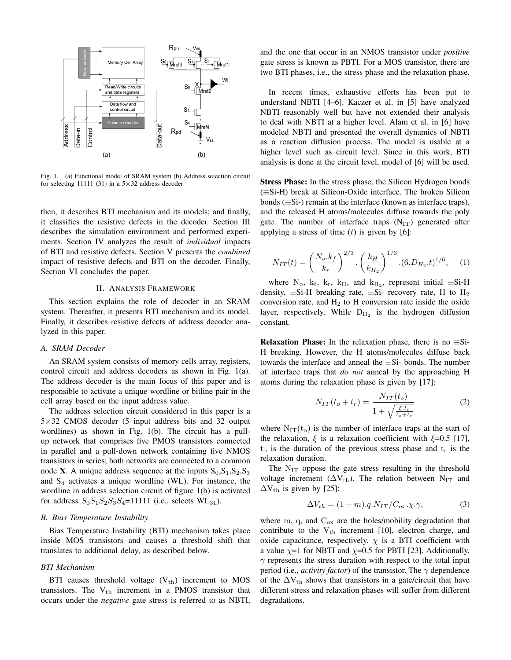

Fig. 1. (a) Functional model of SRAM system (b) Address selection circuit for selecting 11111 (31) in a  $5\times32$  address decoder

then, it describes BTI mechanism and its models; and finally, it classifies the resistive defects in the decoder. Section III describes the simulation environment and performed experiments. Section IV analyzes the result of *individual* impacts of BTI and resistive defects. Section V presents the *combined* impact of resistive defects and BTI on the decoder. Finally, Section VI concludes the paper.

## II. ANALYSIS FRAMEWORK

This section explains the role of decoder in an SRAM system. Thereafter, it presents BTI mechanism and its model. Finally, it describes resistive defects of address decoder analyzed in this paper.

## *A. SRAM Decoder*

An SRAM system consists of memory cells array, registers, control circuit and address decoders as shown in Fig. 1(a). The address decoder is the main focus of this paper and is responsible to activate a unique wordline or bitline pair in the cell array based on the input address value.

The address selection circuit considered in this paper is a 5×32 CMOS decoder (5 input address bits and 32 output wordlines) as shown in Fig. 1(b). The circuit has a pullup network that comprises five PMOS transistors connected in parallel and a pull-down network containing five NMOS transistors in series; both networks are connected to a common node **X**. A unique address sequence at the inputs  $S_0, S_1, S_2, S_3$ and  $S_4$  activates a unique wordline (WL). For instance, the wordline in address selection circuit of figure 1(b) is activated for address  $S_0S_1S_2S_3S_4$ =11111 (i.e., selects WL<sub>31</sub>).

## *B. Bias Temperature Instability*

Bias Temperature Instability (BTI) mechanism takes place inside MOS transistors and causes a threshold shift that translates to additional delay, as described below.

## *BTI Mechanism*

BTI causes threshold voltage  $(V_{th})$  increment to MOS transistors. The  $V_{th}$  increment in a PMOS transistor that occurs under the *negative* gate stress is referred to as NBTI,

and the one that occur in an NMOS transistor under *positive* gate stress is known as PBTI. For a MOS transistor, there are two BTI phases, i.e., the stress phase and the relaxation phase.

In recent times, exhaustive efforts has been put to understand NBTI [4–6]. Kaczer et al. in [5] have analyzed NBTI reasonably well but have not extended their analysis to deal with NBTI at a higher level. Alam et al. in [6] have modeled NBTI and presented the overall dynamics of NBTI as a reaction diffusion process. The model is usable at a higher level such as circuit level. Since in this work, BTI analysis is done at the circuit level, model of [6] will be used.

Stress Phase: In the stress phase, the Silicon Hydrogen bonds (≡Si-H) break at Silicon-Oxide interface. The broken Silicon bonds (≡Si-) remain at the interface (known as interface traps), and the released H atoms/molecules diffuse towards the poly gate. The number of interface traps  $(N_{IT})$  generated after applying a stress of time  $(t)$  is given by  $[6]$ :

$$
N_{IT}(t) = \left(\frac{N_o.k_f}{k_r}\right)^{2/3} \cdot \left(\frac{k_H}{k_{H_2}}\right)^{1/3} \cdot (6.D_{H_2}.t)^{1/6},\tag{1}
$$

where  $N_o$ ,  $k_f$ ,  $k_F$ ,  $k_H$ , and  $k_{H_2}$ , represent initial  $\equiv$ Si-H density,  $\equiv$ Si-H breaking rate,  $\equiv$ Si- recovery rate, H to H<sub>2</sub> conversion rate, and  $H_2$  to H conversion rate inside the oxide layer, respectively. While  $D_{H_2}$  is the hydrogen diffusion constant.

**Relaxation Phase:** In the relaxation phase, there is no  $\equiv$ Si-H breaking. However, the H atoms/molecules diffuse back towards the interface and anneal the ≡Si- bonds. The number of interface traps that *do not* anneal by the approaching H atoms during the relaxation phase is given by [17]:

$$
N_{IT}(t_o + t_r) = \frac{N_{IT}(t_o)}{1 + \sqrt{\frac{\xi \cdot t_r}{t_o + t_r}}}
$$
(2)

where  $N_{IT}(t_0)$  is the number of interface traps at the start of the relaxation,  $\xi$  is a relaxation coefficient with  $\xi$ =0.5 [17],  $t_o$  is the duration of the previous stress phase and  $t_r$  is the relaxation duration.

The  $N_{IT}$  oppose the gate stress resulting in the threshold voltage increment ( $\Delta V_{th}$ ). The relation between N<sub>IT</sub> and  $\Delta V_{th}$  is given by [25]:

$$
\Delta V_{th} = (1 + m) . q . N_{IT} / C_{ox} . \chi . \gamma,
$$
\n(3)

where  $m$ ,  $q$ , and  $C_{ox}$  are the holes/mobility degradation that contribute to the  $V_{th}$  increment [10], electron charge, and oxide capacitance, respectively.  $\chi$  is a BTI coefficient with a value  $\chi$ =1 for NBTI and  $\chi$ =0.5 for PBTI [23]. Additionally,  $\gamma$  represents the stress duration with respect to the total input period (i.e., *activity factor*) of the transistor. The  $\gamma$  dependence of the  $\Delta V_{th}$  shows that transistors in a gate/circuit that have different stress and relaxation phases will suffer from different degradations.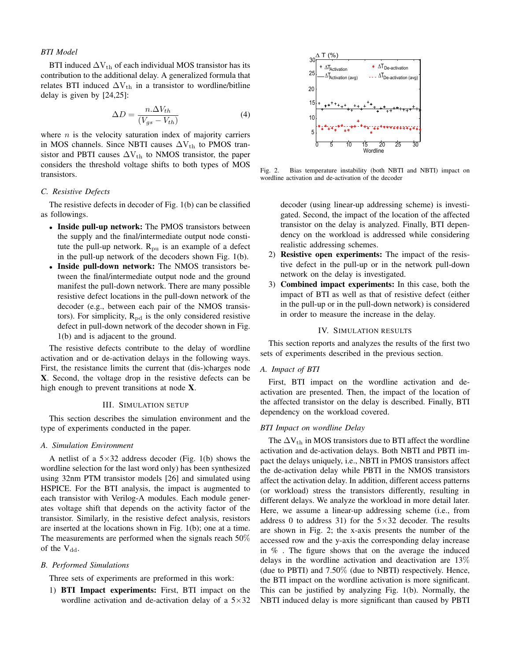## *BTI Model*

BTI induced  $\Delta V_{th}$  of each individual MOS transistor has its contribution to the additional delay. A generalized formula that relates BTI induced  $\Delta V_{th}$  in a transistor to wordline/bitline delay is given by [24,25]:

$$
\Delta D = \frac{n.\Delta V_{th}}{(V_{gs} - V_{th})}
$$
\n(4)

where  $n$  is the velocity saturation index of majority carriers in MOS channels. Since NBTI causes  $\Delta V_{th}$  to PMOS transistor and PBTI causes  $\Delta V_{th}$  to NMOS transistor, the paper considers the threshold voltage shifts to both types of MOS transistors.

## *C. Resistive Defects*

The resistive defects in decoder of Fig. 1(b) can be classified as followings.

- Inside pull-up network: The PMOS transistors between the supply and the final/intermediate output node constitute the pull-up network.  $R_{\text{pu}}$  is an example of a defect in the pull-up network of the decoders shown Fig. 1(b).
- Inside pull-down network: The NMOS transistors between the final/intermediate output node and the ground manifest the pull-down network. There are many possible resistive defect locations in the pull-down network of the decoder (e.g., between each pair of the NMOS transistors). For simplicity,  $R_{pd}$  is the only considered resistive defect in pull-down network of the decoder shown in Fig. 1(b) and is adjacent to the ground.

The resistive defects contribute to the delay of wordline activation and or de-activation delays in the following ways. First, the resistance limits the current that (dis-)charges node X. Second, the voltage drop in the resistive defects can be high enough to prevent transitions at node X.

## III. SIMULATION SETUP

This section describes the simulation environment and the type of experiments conducted in the paper.

## *A. Simulation Environment*

A netlist of a  $5\times32$  address decoder (Fig. 1(b) shows the wordline selection for the last word only) has been synthesized using 32nm PTM transistor models [26] and simulated using HSPICE. For the BTI analysis, the impact is augmented to each transistor with Verilog-A modules. Each module generates voltage shift that depends on the activity factor of the transistor. Similarly, in the resistive defect analysis, resistors are inserted at the locations shown in Fig. 1(b); one at a time. The measurements are performed when the signals reach 50% of the  $V_{dd}$ .

### *B. Performed Simulations*

Three sets of experiments are preformed in this work:

1) BTI Impact experiments: First, BTI impact on the wordline activation and de-activation delay of a  $5\times32$ 



Fig. 2. Bias temperature instability (both NBTI and NBTI) impact on wordline activation and de-activation of the decoder

decoder (using linear-up addressing scheme) is investigated. Second, the impact of the location of the affected transistor on the delay is analyzed. Finally, BTI dependency on the workload is addressed while considering realistic addressing schemes.

- 2) Resistive open experiments: The impact of the resistive defect in the pull-up or in the network pull-down network on the delay is investigated.
- 3) Combined impact experiments: In this case, both the impact of BTI as well as that of resistive defect (either in the pull-up or in the pull-down network) is considered in order to measure the increase in the delay.

## IV. SIMULATION RESULTS

This section reports and analyzes the results of the first two sets of experiments described in the previous section.

### *A. Impact of BTI*

First, BTI impact on the wordline activation and deactivation are presented. Then, the impact of the location of the affected transistor on the delay is described. Finally, BTI dependency on the workload covered.

#### *BTI Impact on wordline Delay*

The  $\Delta V_{th}$  in MOS transistors due to BTI affect the wordline activation and de-activation delays. Both NBTI and PBTI impact the delays uniquely, i.e., NBTI in PMOS transistors affect the de-activation delay while PBTI in the NMOS transistors affect the activation delay. In addition, different access patterns (or workload) stress the transistors differently, resulting in different delays. We analyze the workload in more detail later. Here, we assume a linear-up addressing scheme (i.e., from address 0 to address 31) for the  $5\times32$  decoder. The results are shown in Fig. 2; the x-axis presents the number of the accessed row and the y-axis the corresponding delay increase in % . The figure shows that on the average the induced delays in the wordline activation and deactivation are 13% (due to PBTI) and 7.50% (due to NBTI) respectively. Hence, the BTI impact on the wordline activation is more significant. This can be justified by analyzing Fig. 1(b). Normally, the NBTI induced delay is more significant than caused by PBTI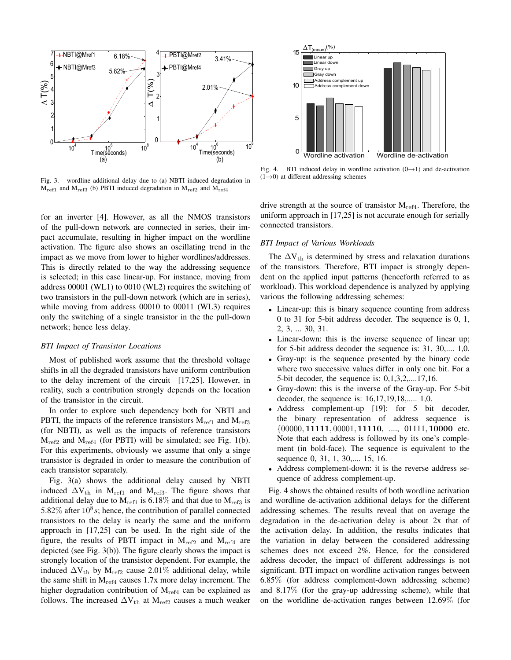

Fig. 3. wordline additional delay due to (a) NBTI induced degradation in  $M_{ref1}$  and  $M_{ref3}$  (b) PBTI induced degradation in  $M_{ref2}$  and  $M_{ref4}$ 

for an inverter [4]. However, as all the NMOS transistors of the pull-down network are connected in series, their impact accumulate, resulting in higher impact on the wordline activation. The figure also shows an oscillating trend in the impact as we move from lower to higher wordlines/addresses. This is directly related to the way the addressing sequence is selected; in this case linear-up. For instance, moving from address 00001 (WL1) to 0010 (WL2) requires the switching of two transistors in the pull-down network (which are in series), while moving from address 00010 to 00011 (WL3) requires only the switching of a single transistor in the the pull-down network; hence less delay.

### *BTI Impact of Transistor Locations*

Most of published work assume that the threshold voltage shifts in all the degraded transistors have uniform contribution to the delay increment of the circuit [17,25]. However, in reality, such a contribution strongly depends on the location of the transistor in the circuit.

In order to explore such dependency both for NBTI and PBTI, the impacts of the reference transistors  $M_{ref1}$  and  $M_{ref3}$ (for NBTI), as well as the impacts of reference transistors  $M_{ref2}$  and  $M_{ref4}$  (for PBTI) will be simulated; see Fig. 1(b). For this experiments, obviously we assume that only a singe transistor is degraded in order to measure the contribution of each transistor separately.

Fig. 3(a) shows the additional delay caused by NBTI induced  $\Delta V_{th}$  in M<sub>ref1</sub> and M<sub>ref3</sub>. The figure shows that additional delay due to  $M_{ref1}$  is 6.18% and that due to  $M_{ref3}$  is 5.82% after  $10^8 s$ ; hence, the contribution of parallel connected transistors to the delay is nearly the same and the uniform approach in [17,25] can be used. In the right side of the figure, the results of PBTI impact in  $M_{ref2}$  and  $M_{ref4}$  are depicted (see Fig. 3(b)). The figure clearly shows the impact is strongly location of the transistor dependent. For example, the induced  $\Delta V_{th}$  by M<sub>ref2</sub> cause 2.01% additional delay, while the same shift in  $M_{ref4}$  causes 1.7x more delay increment. The higher degradation contribution of  $M_{ref4}$  can be explained as follows. The increased  $\Delta V_{th}$  at  $M_{ref2}$  causes a much weaker



Fig. 4. BTI induced delay in wordline activation  $(0 \rightarrow 1)$  and de-activation  $(1\rightarrow 0)$  at different addressing schemes

drive strength at the source of transistor  $M_{ref4}$ . Therefore, the uniform approach in [17,25] is not accurate enough for serially connected transistors.

## *BTI Impact of Various Workloads*

The  $\Delta V_{th}$  is determined by stress and relaxation durations of the transistors. Therefore, BTI impact is strongly dependent on the applied input patterns (henceforth referred to as workload). This workload dependence is analyzed by applying various the following addressing schemes:

- Linear-up: this is binary sequence counting from address 0 to 31 for 5-bit address decoder. The sequence is 0, 1, 2, 3, ... 30, 31.
- Linear-down: this is the inverse sequence of linear up; for 5-bit address decoder the sequence is: 31, 30,.... 1,0.
- Gray-up: is the sequence presented by the binary code where two successive values differ in only one bit. For a 5-bit decoder, the sequence is: 0,1,3,2,....17,16.
- Gray-down: this is the inverse of the Gray-up. For 5-bit decoder, the sequence is: 16,17,19,18,..... 1,0.
- Address complement-up [19]: for 5 bit decoder, the binary representation of address sequence is  $\{00000, 11111, 00001, 11110, \ldots, 01111, 10000 \text{ etc.} \}$ Note that each address is followed by its one's complement (in bold-face). The sequence is equivalent to the sequence 0, 31, 1, 30,.... 15, 16.
- Address complement-down: it is the reverse address sequence of address complement-up.

Fig. 4 shows the obtained results of both wordline activation and wordline de-activation additional delays for the different addressing schemes. The results reveal that on average the degradation in the de-activation delay is about 2x that of the activation delay. In addition, the results indicates that the variation in delay between the considered addressing schemes does not exceed 2%. Hence, for the considered address decoder, the impact of different addressings is not significant. BTI impact on wordline activation ranges between 6.85% (for address complement-down addressing scheme) and 8.17% (for the gray-up addressing scheme), while that on the worldline de-activation ranges between 12.69% (for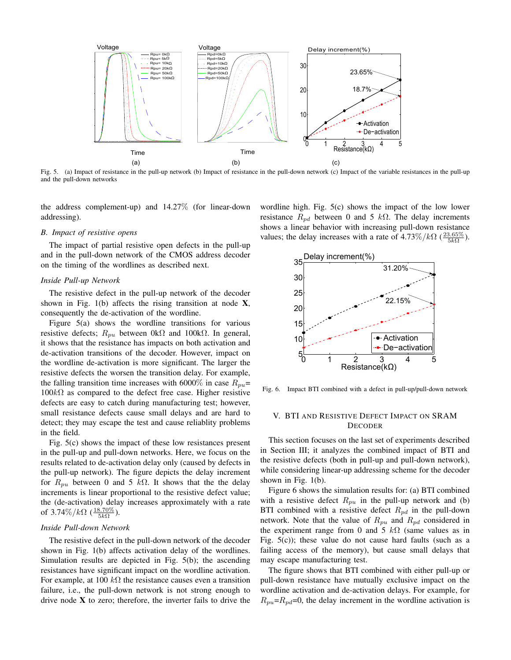

Fig. 5. (a) Impact of resistance in the pull-up network (b) Impact of resistance in the pull-down network (c) Impact of the variable resistances in the pull-up and the pull-down networks

the address complement-up) and 14.27% (for linear-down addressing).

## *B. Impact of resistive opens*

The impact of partial resistive open defects in the pull-up and in the pull-down network of the CMOS address decoder on the timing of the wordlines as described next.

#### *Inside Pull-up Network*

The resistive defect in the pull-up network of the decoder shown in Fig.  $1(b)$  affects the rising transition at node X, consequently the de-activation of the wordline.

Figure 5(a) shows the wordline transitions for various resistive defects;  $R_{pu}$  between 0kΩ and 100kΩ. In general, it shows that the resistance has impacts on both activation and de-activation transitions of the decoder. However, impact on the wordline de-activation is more significant. The larger the resistive defects the worsen the transition delay. For example, the falling transition time increases with 6000% in case  $R_{pu}$ =  $100kΩ$  as compared to the defect free case. Higher resistive defects are easy to catch during manufacturing test; however, small resistance defects cause small delays and are hard to detect; they may escape the test and cause reliablity problems in the field.

Fig. 5(c) shows the impact of these low resistances present in the pull-up and pull-down networks. Here, we focus on the results related to de-activation delay only (caused by defects in the pull-up network). The figure depicts the delay increment for  $R_{pu}$  between 0 and 5 kΩ. It shows that the the delay increments is linear proportional to the resistive defect value; the (de-activation) delay increases approximately with a rate of 3.74%/ $k\Omega$  ( $\frac{18.70\%}{5k\Omega}$ ).

## *Inside Pull-down Network*

The resistive defect in the pull-down network of the decoder shown in Fig. 1(b) affects activation delay of the wordlines. Simulation results are depicted in Fig. 5(b); the ascending resistances have significant impact on the wordline activation. For example, at 100  $k\Omega$  the resistance causes even a transition failure, i.e., the pull-down network is not strong enough to drive node  $X$  to zero; therefore, the inverter fails to drive the wordline high. Fig. 5(c) shows the impact of the low lower resistance  $R_{pd}$  between 0 and 5 kΩ. The delay increments shows a linear behavior with increasing pull-down resistance values; the delay increases with a rate of  $4.73\%/k\Omega$  ( $\frac{23.65\%}{5k\Omega}$ ).



Fig. 6. Impact BTI combined with a defect in pull-up/pull-down network

## V. BTI AND RESISTIVE DEFECT IMPACT ON SRAM DECODER

This section focuses on the last set of experiments described in Section III; it analyzes the combined impact of BTI and the resistive defects (both in pull-up and pull-down network), while considering linear-up addressing scheme for the decoder shown in Fig. 1(b).

Figure 6 shows the simulation results for: (a) BTI combined with a resistive defect  $R_{pu}$  in the pull-up network and (b) BTI combined with a resistive defect  $R_{pd}$  in the pull-down network. Note that the value of  $R_{pu}$  and  $R_{pd}$  considered in the experiment range from 0 and 5  $k\Omega$  (same values as in Fig. 5(c)); these value do not cause hard faults (such as a failing access of the memory), but cause small delays that may escape manufacturing test.

The figure shows that BTI combined with either pull-up or pull-down resistance have mutually exclusive impact on the wordline activation and de-activation delays. For example, for  $R_{pu}$ = $R_{pd}$ =0, the delay increment in the wordline activation is